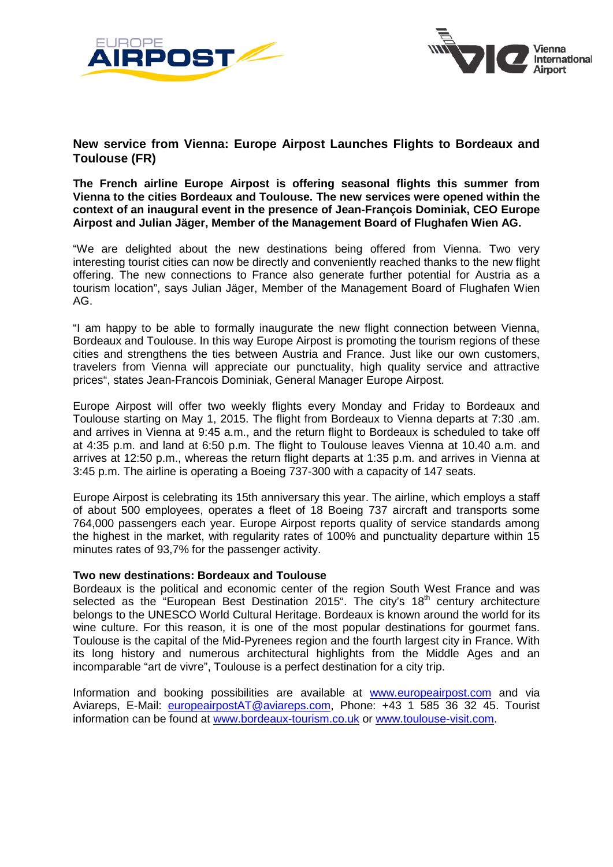



## **New service from Vienna: Europe Airpost Launches Flights to Bordeaux and Toulouse (FR)**

**The French airline Europe Airpost is offering seasonal flights this summer from Vienna to the cities Bordeaux and Toulouse. The new services were opened within the context of an inaugural event in the presence of Jean-François Dominiak, CEO Europe Airpost and Julian Jäger, Member of the Management Board of Flughafen Wien AG.**

"We are delighted about the new destinations being offered from Vienna. Two very interesting tourist cities can now be directly and conveniently reached thanks to the new flight offering. The new connections to France also generate further potential for Austria as a tourism location", says Julian Jäger, Member of the Management Board of Flughafen Wien AG.

"I am happy to be able to formally inaugurate the new flight connection between Vienna, Bordeaux and Toulouse. In this way Europe Airpost is promoting the tourism regions of these cities and strengthens the ties between Austria and France. Just like our own customers, travelers from Vienna will appreciate our punctuality, high quality service and attractive prices", states Jean-Francois Dominiak, General Manager Europe Airpost.

Europe Airpost will offer two weekly flights every Monday and Friday to Bordeaux and Toulouse starting on May 1, 2015. The flight from Bordeaux to Vienna departs at 7:30 .am. and arrives in Vienna at 9:45 a.m., and the return flight to Bordeaux is scheduled to take off at 4:35 p.m. and land at 6:50 p.m. The flight to Toulouse leaves Vienna at 10.40 a.m. and arrives at 12:50 p.m., whereas the return flight departs at 1:35 p.m. and arrives in Vienna at 3:45 p.m. The airline is operating a Boeing 737-300 with a capacity of 147 seats.

Europe Airpost is celebrating its 15th anniversary this year. The airline, which employs a staff of about 500 employees, operates a fleet of 18 Boeing 737 aircraft and transports some 764,000 passengers each year. Europe Airpost reports quality of service standards among the highest in the market, with regularity rates of 100% and punctuality departure within 15 minutes rates of 93,7% for the passenger activity.

## **Two new destinations: Bordeaux and Toulouse**

Bordeaux is the political and economic center of the region South West France and was selected as the "European Best Destination 2015". The city's 18<sup>th</sup> century architecture belongs to the UNESCO World Cultural Heritage. Bordeaux is known around the world for its wine culture. For this reason, it is one of the most popular destinations for gourmet fans. Toulouse is the capital of the Mid-Pyrenees region and the fourth largest city in France. With its long history and numerous architectural highlights from the Middle Ages and an incomparable "art de vivre", Toulouse is a perfect destination for a city trip.

Information and booking possibilities are available at [www.europeairpost.com](http://www.europeairpost.com/) and via Aviareps, E-Mail: [europeairpostAT@aviareps.com,](mailto:europeairpostAT@aviareps.com) Phone: +43 1 585 36 32 45. Tourist information can be found at [www.bordeaux-tourism.co.uk](http://www.bordeaux-tourism.co.uk/) or [www.toulouse-visit.com.](http://www.toulouse-visit.com/)